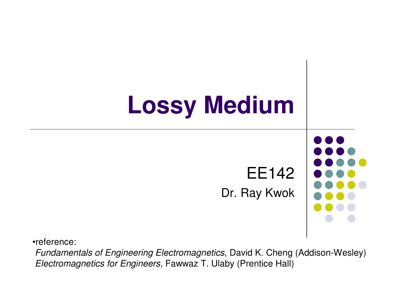

•reference:

 Fundamentals of Engineering Electromagnetics, David K. Cheng (Addison-Wesley)Electromagnetics for Engineers, Fawwaz T. Ulaby (Prentice Hall)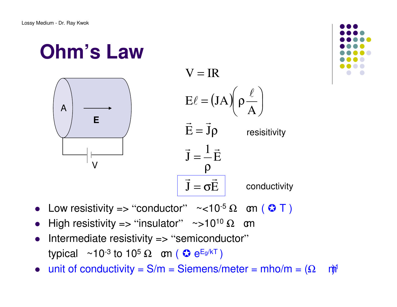### **Ohm's Law**





- Low resistivity => "conductor"  $\sim$ <10<sup>-5</sup> Ω cm ( <del>Ω</del> T )
- $\bullet$ High resistivity => "insulator" ~>10<sup>10</sup>  $\Omega$  om
- Intermediate resistivity => "semiconductor"  $\bullet$ typical  $~\sim$ 10<sup>-3</sup> to 10<sup>5</sup> Ω om (  $\odot$  e<sup>Eg/kT</sup> )
- $\bullet$ unit of conductivity =  $S/m = Siemens/meter = mh<sub>O</sub>/m = (\Omega - m<sup>1</sup>)$

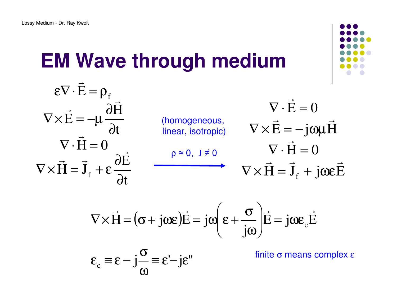# **EM Wave through medium**

$$
\begin{aligned}\n\boldsymbol{\epsilon}\nabla \cdot \vec{\mathbf{E}} &= \rho_{\mathrm{f}} \\
\nabla \times \vec{\mathbf{E}} &= -\mu \frac{\partial \vec{\mathbf{H}}}{\partial t} \\
\nabla \cdot \vec{\mathbf{H}} &= 0 \\
\nabla \times \vec{\mathbf{H}} &= \vec{\mathbf{J}}_{\mathrm{f}} + \boldsymbol{\epsilon} \frac{\partial \vec{\mathbf{E}}}{\partial t} \\
\end{aligned}\n\qquad\n\begin{aligned}\n\text{ (homogeneous,} \\
\text{linear, isotropic)} \\
\nabla \times \vec{\mathbf{E}} &= -\text{j} \omega \mu \vec{\mathbf{H}} \\
\nabla \cdot \vec{\mathbf{H}} &= 0 \\
\nabla \times \vec{\mathbf{H}} &= \vec{\mathbf{J}}_{\mathrm{f}} + \text{j} \omega \boldsymbol{\epsilon} \vec{\mathbf{E}}\n\end{aligned}
$$

$$
\nabla \times \vec{H} = (\sigma + j\omega \varepsilon) \vec{E} = j\omega \left( \varepsilon + \frac{\sigma}{j\omega} \right) \vec{E} = j\omega \varepsilon_c \vec{E}
$$
  

$$
\varepsilon_c \equiv \varepsilon - j\frac{\sigma}{\omega} \equiv \varepsilon - j\varepsilon''
$$
finite  $\sigma$  means complex  $\varepsilon$ 

$$
\varepsilon_{c} \equiv \varepsilon - j\frac{\sigma}{\omega} \equiv \varepsilon' - j\varepsilon''
$$

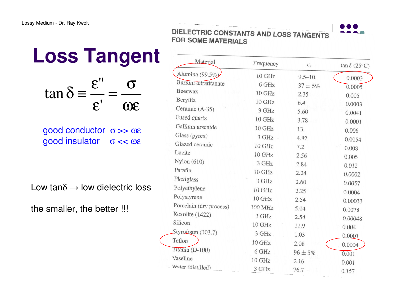|                        |                                                             | <b>Loss Tangent</b> | Ма                                                                            |
|------------------------|-------------------------------------------------------------|---------------------|-------------------------------------------------------------------------------|
| $\tan \delta \equiv -$ | $\boldsymbol{\varepsilon}$ "<br>$\boldsymbol{\mathcal{E}}'$ | $\omega\varepsilon$ | Alumina (9<br>Barium teti<br>Beeswax<br>Beryllia<br>Ceramic (A<br>Fused quart |

good conductor σ >> ωεgood insulator σ << ωε

Low tan $\delta \rightarrow$  low dielectric loss

the smaller, the better !!!

DIELECTRIC CONSTANTS AND LOSS TANGENTS **FOR SOME MATERIALS** 

| Material                | Frequency | $\epsilon_r$ | $\tan \delta (25^{\circ}C)$ |
|-------------------------|-----------|--------------|-----------------------------|
| Alumina (99.5%)         | $10$ GHz  | $9.5 - 10.$  | 0.0003                      |
| Barium tetratitanate    | 6 GHz     | $37 + 5\%$   | 0.0005                      |
| Beeswax                 | 10 GHz    | 2.35         | 0.005                       |
| Beryllia                | 10 GHz    | 6.4          | 0.0003                      |
| Ceramic (A-35)          | 3 GHz     | 5.60         | 0.0041                      |
| Fused quartz            | 10 GHz    | 3.78         | 0.0001                      |
| Gallium arsenide        | 10 GHz    | 13.          | 0.006                       |
| Glass (pyrex)           | 3 GHz     | 4.82         | 0.0054                      |
| Glazed ceramic          | 10 GHz    | 7.2          | 0.008                       |
| Lucite                  | $10$ GHz  | 2.56         | 0.005                       |
| Nylon $(610)$           | 3 GHz     | 2.84         | 0.012                       |
| Parafin                 | 10 GHz    | 2.24         | 0.0002                      |
| Plexiglass              | 3 GHz     | 2.60         | 0.0057                      |
| Polyethylene            | 10 GHz    | 2.25         | 0.0004                      |
| Polystyrene             | 10 GHz    | 2.54         | 0.00033                     |
| Porcelain (dry process) | 100 MHz   | 5.04         |                             |
| Rexolite (1422)         | 3 GHz     | 2.54         | 0.0078<br>0.00048           |
| Silicon                 | 10 GHz    | 11.9         | 0.004                       |
| Styrofoam (103.7)       | 3 GHz     | 1.03         | 0.0001                      |
| Teflon                  | 10 GHz    | 2.08         |                             |
| Titania (D-100)         | 6 GHz     | $96 \pm 5\%$ | 0.0004                      |
| Vaseline                | 10 GHz    | 2.16         | 0.001                       |
| Water (distilled)       | 3 GHz     | 76.7         | 0.001<br>0.157              |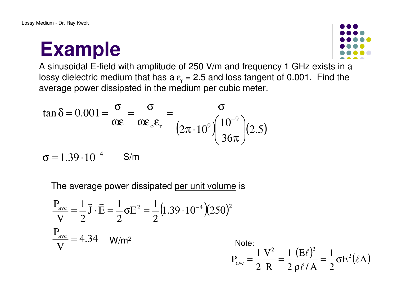### **Example**



 $\frac{(\mathrm{E}\ell)^2}{\phantom{0}} = \frac{1}{\phantom{0}} \sigma \mathrm{E}$ 

 $\frac{\ell}{4} = \frac{1}{2} \sigma E^2(\ell A)$ 

A sinusoidal E-field with amplitude of 250 V/m and frequency 1 GHz exists in a lossy dielectric medium that has a  $\varepsilon$ <sub>r</sub> = 2.5 and loss tangent of 0.001. Find the average power dissipated in the medium per cubic meter.

$$
\tan \delta = 0.001 = \frac{\sigma}{\omega \epsilon} = \frac{\sigma}{\omega \epsilon_{\text{o}} \epsilon_{\text{r}}} = \frac{\sigma}{\left(2\pi \cdot 10^9\right) \left(\frac{10^{-9}}{36\pi}\right)} (2.5)
$$
  

$$
\sigma = 1.39 \cdot 10^{-4} \qquad \text{S/m}
$$

$$
\sigma = 1.39 \cdot 10^{-4} \qquad \text{S/m}
$$

The average power dissipated <u>per unit volume</u> is

$$
\frac{P_{\text{ave}}}{V} = \frac{1}{2} \vec{J} \cdot \vec{E} = \frac{1}{2} \sigma E^2 = \frac{1}{2} (1.39 \cdot 10^{-4}) (250)^2
$$
  
\n
$$
\frac{P_{\text{ave}}}{V} = 4.34 \quad W/m^2
$$
  
\n
$$
P_{\text{ave}} = \frac{1}{2} \frac{V^2}{R} = \frac{1}{2} \frac{(E\ell)^2}{\rho \ell/A} = \frac{1}{2} \sigma E^2 (\ell)
$$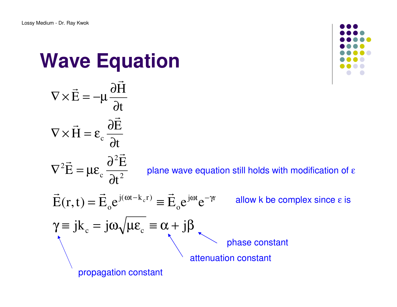**Wave Equation**

H

 $\rightarrow$ 

∂

 $\rightarrow$   $\sim$   $\sim$   $\sim$ 



#### 22c 2 $\cdot$  dt tE $E = \mu \varepsilon$ . E $H = \varepsilon$ . t $E = -\mu -$  ∂∂∂ $\nabla^2 E = \mu \varepsilon_c$ ∂ $\rightarrow$ ∂ $\nabla \times H = \varepsilon_c$  $\nabla \times \mathbf{E} = -\mathbf{\mu}$  $\rightarrow$   $\qquad$   $\qquad$   $\qquad$   $\qquad$   $\qquad$   $\qquad$   $\qquad$   $\qquad$   $\qquad$   $\qquad$   $\qquad$   $\qquad$   $\qquad$   $\qquad$   $\qquad$   $\qquad$   $\qquad$   $\qquad$   $\qquad$   $\qquad$   $\qquad$   $\qquad$   $\qquad$   $\qquad$   $\qquad$   $\qquad$   $\qquad$   $\qquad$   $\qquad$   $\qquad$   $\qquad$   $\qquad$   $\qquad$   $\qquad$   $\qquad$   $\qquad$   $\rightarrow$  $\rightarrow$   $\sim$   $\sim$   $\sim$ plane wave equation still holds with modification of ε  $\gamma \equiv j k_c = j\omega \sqrt{\mu \varepsilon_c} \equiv \alpha + j\beta$  $= E_0 e^{i\theta}$   $e^{\theta}$  $\vec{E}(r,t) = \vec{E}_o e^{j(\omega t - k_c r)} \equiv \vec{E}_o e^{j\omega t} e^{-\gamma r}$  $j(\omega t - k_c r)$ oc  $\vec{\mathrm{E}}(\mathrm{r},\mathrm{t})=\vec{\mathrm{E}}_{\circ}\mathrm{e}^{\mathrm{j}(\omega\mathrm{t}-\mathrm{k}_{\mathrm{c}}\mathrm{r})}\equiv\vec{\mathrm{E}}_{\circ}\mathrm{e}^{\mathrm{j}\omega\mathrm{t}}\mathrm{e}^{-\gamma\mathrm{r}}$  allow k be complex since  $\mathrm{\epsilon}$  is propagation constantattenuation constantphase constant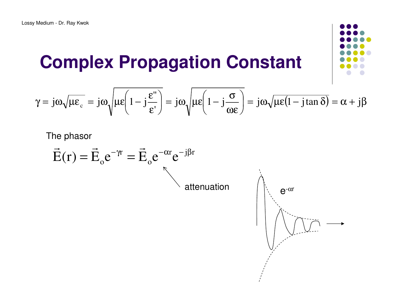### **Complex Propagation Constant**

$$
\gamma = j\omega\sqrt{\mu\epsilon_{c}} = j\omega\sqrt{\mu\epsilon\left(1 - j\frac{\epsilon''}{\epsilon'}\right)} = j\omega\sqrt{\mu\epsilon\left(1 - j\frac{\sigma}{\omega\epsilon}\right)} = j\omega\sqrt{\mu\epsilon(1 - j\tan\delta)} = \alpha + j\beta
$$

The phasor

$$
\vec{E}(r) = \vec{E}_o e^{-\gamma r} = \vec{E}_o e^{-\alpha r} e^{-j\beta r}
$$
 attenuation

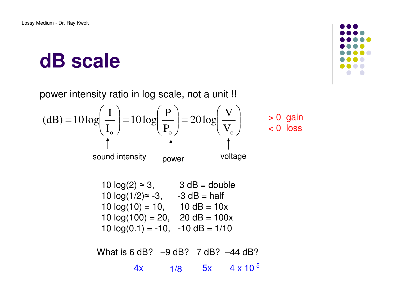### **dB scale**

power intensity ratio in log scale, not a unit !!

(dB) = 
$$
10 \log \left(\frac{I}{I_o}\right) = 10 \log \left(\frac{P}{P_o}\right) = 20 \log \left(\frac{V}{V_o}\right)
$$
 > 0 gain  
\n $\uparrow$  1  
\nsound intensity power voltage

| 10 $log(2) \approx 3$ ,    | $3 dB = double$   |  |  |
|----------------------------|-------------------|--|--|
| 10 $log(1/2) \approx -3$ , | $-3$ dB = half    |  |  |
| $10 log(10) = 10,$         | $10 dB = 10x$     |  |  |
| 10 $log(100) = 20$ ,       | $20 dB = 100x$    |  |  |
| 10 $log(0.1) = -10$ ,      | $-10$ dB = $1/10$ |  |  |

What is 6 dB? -9 dB? 7 dB? -44 dB? 4x 1/8 $1/8$  5x 4 x 10<sup>-5</sup>

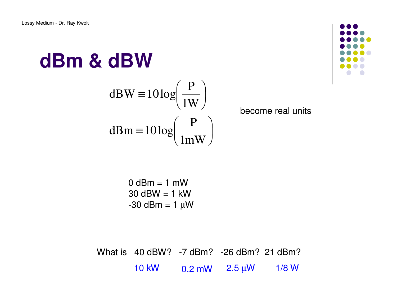# **dBm & dBW**

dBW = 
$$
10 \log \left( \frac{P}{1W} \right)
$$
  
dBm =  $10 \log \left( \frac{P}{1mW} \right)$ 



become real units

 $0$  dBm = 1 mW 30 dBW = 1 kW-30 dBm = 1 µW

What is 40 dBW? -7 dBm? -26 dBm? 21 dBm?10 kW0.2 mW 2.5 µ<sup>W</sup> 1/8 W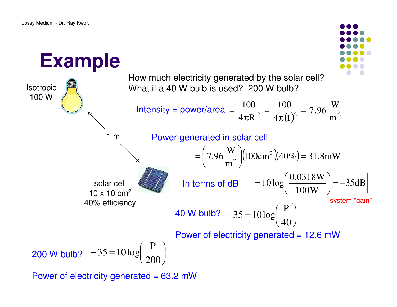

Power of electricity generated = 63.2 mW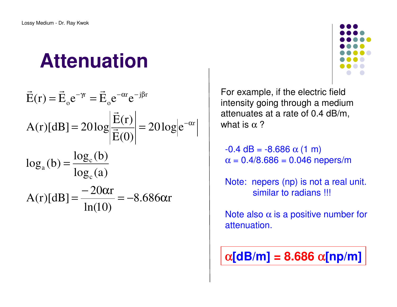# **Attenuation**

$$
\vec{E}(r) = \vec{E}_o e^{-\gamma r} = \vec{E}_o e^{-\alpha r} e^{-j\beta r}
$$
  
\n
$$
A(r)[dB] = 20 \log \left| \frac{\vec{E}(r)}{\vec{E}(0)} \right| = 20 \log \left| e^{-\alpha r} \right|
$$
  
\n
$$
\log_a(b) = \frac{\log_c(b)}{\log_c(a)}
$$
  
\n
$$
A(r)[dB] = \frac{-20\alpha r}{\ln(10)} = -8.686\alpha r
$$



For example, if the electric field intensity going through a medium attenuates at a rate of 0.4 dB/m, what is  $\alpha$  ?

 $-0.4$  dB =  $-8.686$   $\alpha$  (1 m)  $\alpha = 0.4/8.686 = 0.046$  nepers/m

Note: nepers (np) is not a real unit. similar to radians !!!

Note also  $\alpha$  is a positive number for attenuation.

$$
\alpha[\text{dB/m}] = 8.686 \; \alpha[\text{np/m}]
$$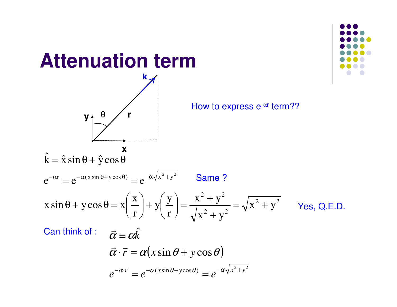

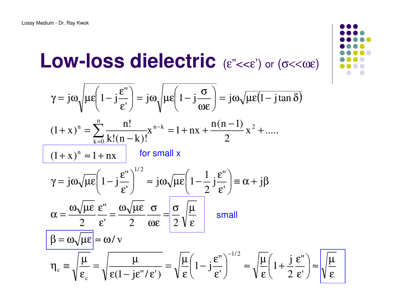### **Low-loss dielectricC** ( $\varepsilon$ "<< $\varepsilon$ ") or ( $\sigma$ << $\omega$  $\varepsilon$ )

$$
\gamma = j\omega \sqrt{\mu \epsilon \left(1 - j\frac{\epsilon^{\prime\prime}}{\epsilon^{\prime}}\right)} = j\omega \sqrt{\mu \epsilon \left(1 - j\frac{\sigma}{\omega \epsilon}\right)} = j\omega \sqrt{\mu \epsilon (1 - j \tan \delta)}
$$
\n
$$
\frac{(1 + x)^n = \sum_{k=0}^n \frac{n!}{k!(n-k)!} x^{n-k} = 1 + nx + \frac{n(n-1)}{2} x^2 + \dots}{\frac{(1 + x)^n \approx 1 + nx}{\sqrt{\mu \epsilon \left(1 - j\frac{\epsilon^{\prime\prime}}{\epsilon^{\prime}}\right)^{1/2}} \approx j\omega \sqrt{\mu \epsilon \left(1 - \frac{1}{2} j\frac{\epsilon^{\prime\prime}}{\epsilon^{\prime}}\right)} = \alpha + j\beta}
$$
\n
$$
\alpha = \frac{\omega \sqrt{\mu \epsilon}}{2} \frac{\epsilon^{\prime\prime}}{\epsilon^{\prime}} = \frac{\omega \sqrt{\mu \epsilon}}{2} \frac{\sigma}{\omega \epsilon} = \frac{\sigma}{2} \sqrt{\frac{\mu}{\epsilon}} \quad \text{small}
$$
\n
$$
\beta = \omega \sqrt{\mu \epsilon} \approx \omega / v
$$
\n
$$
\eta_c = \sqrt{\frac{\mu}{\epsilon_c}} = \sqrt{\frac{\mu}{\epsilon (1 - j \epsilon^{\prime\prime} / \epsilon^{\prime})}} = \sqrt{\frac{\mu}{\epsilon} \left(1 - j\frac{\epsilon^{\prime\prime}}{\epsilon^{\prime}}\right)^{-1/2}} \approx \sqrt{\frac{\mu}{\epsilon} \left(1 + \frac{j}{2} \frac{\epsilon^{\prime\prime}}{\epsilon^{\prime}}\right)} \approx \sqrt{\frac{\mu}{\epsilon}}
$$

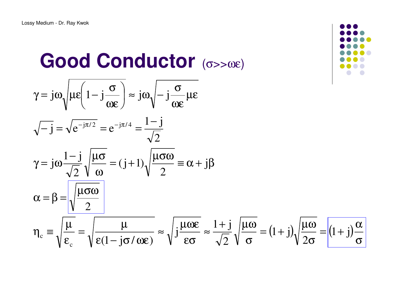#### **Good Conductor** $\Gamma$  (σ>>ωε)

$$
\gamma = j\omega \sqrt{\mu \epsilon \left(1 - j\frac{\sigma}{\omega \epsilon}\right)} \approx j\omega \sqrt{-j\frac{\sigma}{\omega \epsilon}} \mu \epsilon
$$
  

$$
\sqrt{-j} = \sqrt{\epsilon^{-j\pi/2}} = \epsilon^{-j\pi/4} = \frac{1 - j}{\sqrt{2}}
$$
  

$$
\gamma = j\omega \frac{1 - j}{\sqrt{2}} \sqrt{\frac{\mu \sigma}{\omega}} = (j + 1) \sqrt{\frac{\mu \sigma \omega}{2}} = \alpha + j\beta
$$
  

$$
\alpha = \beta = \sqrt{\frac{\mu \sigma \omega}{2}}
$$
  

$$
\eta_c = \sqrt{\frac{\mu}{\epsilon_c}} = \sqrt{\frac{\mu}{\epsilon (1 - j\sigma/\omega \epsilon)}} \approx \sqrt{j\frac{\mu \omega \epsilon}{\epsilon \sigma}} \approx \frac{1 + j}{\sqrt{2}} \sqrt{\frac{\mu \omega}{\sigma}} = (1 + j) \sqrt{\frac{\mu \omega}{2\sigma}} = (1 + j)\frac{\alpha}{\sigma}
$$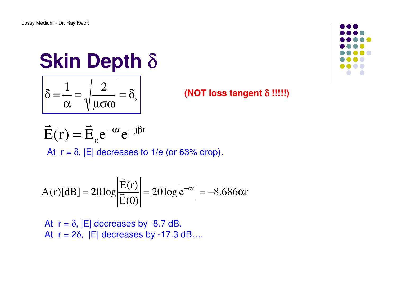# **Skin Depth** δ

$$
\delta = \frac{1}{\alpha} = \sqrt{\frac{2}{\mu \sigma \omega}} = \delta_s
$$

#### **(NOT loss tangent** δ **!!!!!)**

 $r_{\alpha}$ -j $\beta r$ o $\vec{E}(\mathbf{r}) = \vec{E}_o e^{-\alpha \mathbf{r}} e^{-j\beta}$ At  $r = \delta$ ,  $|E|$  decreases to 1/e (or 63% drop).

$$
A(r)[dB] = 20\log\left|\frac{\vec{E}(r)}{\vec{E}(0)}\right| = 20\log\left|e^{-\alpha r}\right| = -8.686\alpha r
$$

At  $r = \delta$ ,  $|E|$  decreases by -8.7 dB. At  $r = 2\delta$ ,  $|E|$  decreases by -17.3 dB....

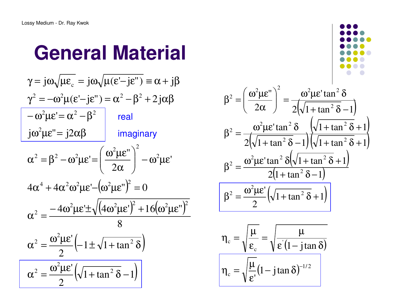### **General Material**

 $(\omega^2 \mu \varepsilon^{\shortparallel})^2$  =  $\frac{(4\omega^2\mu\epsilon')^2 + 16(\omega^2\mu\epsilon'')^2}{8}$  $\left( -1 \pm \sqrt{1 + \tan^2 \delta} \right)$ ( $1 + \tan^2 \delta - 1$ )2'1 $\frac{1}{2}$  (-1  $\pm$   $\sqrt{1}$  + tan ' $-(-1+\sqrt{1+tan^2})$  $4\omega^2\mu\epsilon + \sqrt{(4\omega^2\mu\epsilon') + 16(\omega^2\mu\epsilon')}$  $4\alpha^4 + 4\alpha^2\omega^2\mu\varepsilon - (\omega^2\mu\varepsilon^{\prime\prime})^2 = 0$ ' $2\alpha$  |  $\cdots$ " $=$   $\frac{1}{2}$   $\frac{1}{2}$   $\frac{1}{2}$   $\frac{1}{2}$  $j\omega^2\mu\epsilon = j2\alpha\beta$  $-\omega^2\mu\epsilon'=\alpha^2-\beta^2$  $\gamma^2 = -\omega^2 \mu (\varepsilon - j\varepsilon) = \alpha^2 - \beta^2 + 2j$  $\gamma = j\omega\sqrt{\mu\varepsilon_c} = j\omega\sqrt{\mu(\varepsilon - j\varepsilon)} \equiv \alpha + j\beta$ 2  $\alpha^2 = \frac{\omega^2 \mu \varepsilon'}{\sqrt{1 + \tan^2 \delta}}$  $2 = \frac{\omega^2 \mu \varepsilon'}{1 + \frac{\mu}{\sqrt{1 + \tan^2 \delta}}}$  $^{2}$ LE")<sup>2</sup>  $2=\frac{-4\omega^2\mu\epsilon\pm\sqrt{(4\omega^2\mu\epsilon)^2}}{2}$ 2  $2 = B^2 - \omega^2 \mathbf{I} \mathbf{E} = \left(\frac{\omega^2 \mu \varepsilon}{\omega^2}\right)^2$  $\alpha^2 = \frac{\omega^2 \mu \varepsilon}{\sigma^2}$  $ω^2με'±$  $\frac{\omega^2 \mu \varepsilon' +$  $\alpha^2 = \frac{-4\omega^2\mu\epsilon \pm \sqrt{(4\omega^2\mu\epsilon')} + 16(\omega^2\mu\epsilon)}{2}$  $\int -\omega^2 \mu \varepsilon$  $\bigg)$  $\setminus$  $\bigg($ α $\alpha^2 = \beta^2 - \omega^2 \mu \varepsilon = \frac{\omega^2 \mu \varepsilon}{\sigma^2}$ = $=$  $\beta$  $ω^{\dagger}$ με'= ε'=  $\alpha^2 - \beta$  $\beta^2$  + 2 jα $\beta$ realimaginary



$$
\beta^2 = \left(\frac{\omega^2 \mu \varepsilon^{\text{}}}{2\alpha}\right)^2 = \frac{\omega^2 \mu \varepsilon^{\text{}} \tan^2 \delta}{2\sqrt{1 + \tan^2 \delta} - 1}
$$

$$
\beta^2 = \frac{\omega^2 \mu \varepsilon^{\text{}} \tan^2 \delta}{2\sqrt{1 + \tan^2 \delta} - 1} \left(\frac{\sqrt{1 + \tan^2 \delta} + 1}{\sqrt{1 + \tan^2 \delta} + 1}\right)
$$

$$
\beta^2 = \frac{\omega^2 \mu \varepsilon^{\text{}} \tan^2 \delta \left(\sqrt{1 + \tan^2 \delta} + 1\right)}{2\left(1 + \tan^2 \delta - 1\right)}
$$

$$
\beta^2 = \frac{\omega^2 \mu \varepsilon^{\text{}}}{2} \left(\sqrt{1 + \tan^2 \delta} + 1\right)
$$

$$
\eta_c = \sqrt{\frac{\mu}{\epsilon_c}} = \sqrt{\frac{\mu}{\epsilon (1 - j \tan \delta)}}
$$

$$
\eta_c = \sqrt{\frac{\mu}{\epsilon'} (1 - j \tan \delta)^{-1/2}}
$$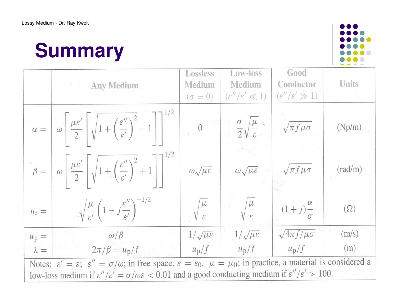# **Summary**



|                                                                                                                                                                                                                                                                                                                                          | <b>Any Medium</b>                                                                                                                                                                                                                                              | Lossless<br>Medium<br>$(\sigma = 0)$ | Low-loss<br>Medium<br>$(\varepsilon''/\varepsilon' \ll 1)$ | Good<br>Conductor<br>$(\varepsilon''/\varepsilon' \gg 1)$ | Units            |  |
|------------------------------------------------------------------------------------------------------------------------------------------------------------------------------------------------------------------------------------------------------------------------------------------------------------------------------------------|----------------------------------------------------------------------------------------------------------------------------------------------------------------------------------------------------------------------------------------------------------------|--------------------------------------|------------------------------------------------------------|-----------------------------------------------------------|------------------|--|
|                                                                                                                                                                                                                                                                                                                                          | $\alpha = \left[\begin{array}{c} \omega \\ \omega \end{array}\right] \frac{\mu \varepsilon'}{2} \left[\sqrt{1 + \left(\frac{\varepsilon''}{\varepsilon'}\right)^2 - 1}\right] \left[\begin{array}{c} \frac{\varepsilon}{\varepsilon'} \\ 0 \end{array}\right]$ |                                      | $\frac{\sigma}{2}\sqrt{\frac{\mu}{\varepsilon}}$           | $\sqrt{\pi f \mu \sigma}$                                 | (Np/m)           |  |
|                                                                                                                                                                                                                                                                                                                                          | $\beta = \left\lfloor \omega \left\lfloor \frac{\mu \varepsilon'}{2} \right\rfloor \sqrt{1 + \left(\frac{\varepsilon''}{\varepsilon'}\right)^2 + 1} \right\rfloor^{1/2}$                                                                                       | $\omega\sqrt{\mu\varepsilon}$        | $\omega\sqrt{\mu\epsilon}$                                 | $\sqrt{\pi f \mu \sigma}$                                 | $(\text{rad/m})$ |  |
| $\eta_c =$                                                                                                                                                                                                                                                                                                                               | $\sqrt{\frac{\mu}{\varepsilon'}}\left(1-j\frac{\varepsilon''}{\varepsilon'}\right)^{-1/2}$                                                                                                                                                                     | $\sqrt{\frac{\mu}{\epsilon}}$        | $\sqrt{\frac{\mu}{c}}$                                     | $(1+j)\frac{\alpha}{\sigma}$                              | $(\Omega)$       |  |
| $u_p =$                                                                                                                                                                                                                                                                                                                                  | $\omega/\beta$                                                                                                                                                                                                                                                 | $1/\sqrt{\mu \varepsilon}$           | $1/\sqrt{\mu \varepsilon}$                                 | $\sqrt{4\pi f/\mu\sigma}$                                 | (m/s)            |  |
| $\lambda =$                                                                                                                                                                                                                                                                                                                              | $2\pi/\beta = u_p/f$                                                                                                                                                                                                                                           | $u_p/f$                              | $u_p/f$                                                    | $u_p/f$                                                   | (m)              |  |
| Notes: $\varepsilon' = \varepsilon$ ; $\varepsilon'' = \sigma/\omega$ ; in free space, $\varepsilon = \varepsilon_0$ , $\mu = \mu_0$ ; in practice, a material is considered a<br>low-loss medium if $\varepsilon''/\varepsilon' = \sigma/\omega\varepsilon < 0.01$ and a good conducting medium if $\varepsilon''/\varepsilon' > 100$ . |                                                                                                                                                                                                                                                                |                                      |                                                            |                                                           |                  |  |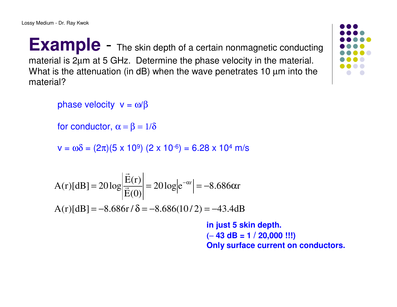**Example** - The skin depth of a certain nonmagnetic conducting material is 2µm at 5 GHz. Determine the phase velocity in the material.What is the attenuation (in dB) when the wave penetrates 10  $\mu$ m into the material?

phase velocity  $v = ω/β$ 

for conductor,  $\alpha = \beta = 1/\delta$ 

 $v = ωδ = (2π)(5 × 10<sup>9</sup>) (2 × 10<sup>-6</sup>) = 6.28 × 10<sup>4</sup> m/s$ 

$$
A(r)[dB] = 20 \log \left| \frac{\vec{E}(r)}{\vec{E}(0)} \right| = 20 \log \left| e^{-\alpha r} \right| = -8.686 \alpha r
$$
  
A(r)[dB] = -8.686r/ $\delta$  = -8.686(10/2) = -43.4dE

 $A(r)[dB] = -8.686r / \delta = -8.686(10/2) = -43.4dB$ 

**in just 5 skin depth.**(− **43 dB = 1 / 20,000 !!!) Only surface current on conductors.**

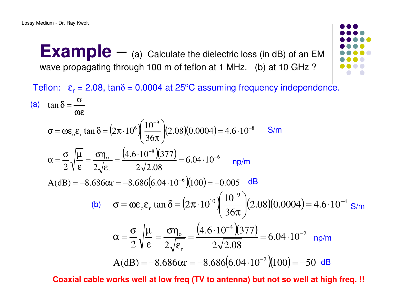**Example** –(a) Calculate the dielectric loss (in dB) of an EM<br>hrough 100 m of toflon at 1 MHz (b) at 10 GHz 2 wave propagating through 100 m of teflon at 1 MHz. (b) at 10 GHz ?



Teflon:  $\varepsilon_{\sf r}$  = 2.08, tan $\delta$  = 0.0004 at 25°C assuming frequency independence.  $\left(2\pi \cdot 10^6\right) \frac{10}{36\pi} (2.08)(0.0004) = 4.6 \cdot 10$  $\frac{(4.6 \cdot 10^{-8})(377)}{2\sqrt{2.08}}$  = 6.04 · 10  $A(dB) = -8.686 \alpha r = -8.686(6.04 \cdot 10^{-6})(100) = -0.005$  $4.6 \cdot 10^{-8}$  (377  $2 V \epsilon$  2 10 $\tan \delta = (2\pi \cdot 10^6) \frac{10}{36\pi} \left( (2.08)(0.0004) \right) = 4.6 \cdot 10^{-8}$ tan6 8 r $\frac{\sigma}{\sigma_{\rm r}}$  =  $\frac{(1.00 \times 10^{-6} \text{ J})}{2\sqrt{2.08}}$  = 6.04 · 10<sup>-6</sup><br>  $\alpha$ r = -8.686(6.04 · 10<sup>-6</sup>)(100) = - $\delta_{\rm g}$   $\varepsilon_{\rm r}$  tan  $\delta = (2\pi \cdot 10^6) \left( \frac{10^{-9}}{36\pi} \right) (2.08)(0.0004) =$ ⋅ = ε $=$   $\frac{\sigma \eta}{\sigma}$  ε $\alpha = \frac{\sigma}{\mu}$  $\alpha =$  $\sigma = \omega \varepsilon_{0} \varepsilon_{r} \tan \delta = (2\pi \cdot 10^{6}) \left( \frac{10^{-9}}{36\pi} \right) (2.08)(0.0004) = 4.6$ ωε $\delta = \frac{\sigma}{\omega}$ (a)  $\tan \delta = \frac{6}{\omega \epsilon}$ <br>  $\sigma = \omega \epsilon_0 \epsilon_r \tan \delta = (2\pi \cdot 10^6) \left(\frac{10^{-9}}{36\pi}\right) (2.08)(0.0004) = 4.6 \cdot 10^{-8}$  S/m<br>  $\alpha = \frac{\sigma}{2} \sqrt{\frac{\mu}{\epsilon}} = \frac{\sigma \eta_0}{2 \sqrt{\epsilon_r}} = \frac{(4.6 \cdot 10^{-8})(377)}{2 \sqrt{2.08}} = 6.04 \cdot 10^{-6}$  np/m<br>
A(dB) = -8.6866xr = -8.6866.  $\left(2\pi \cdot 10^{10}\right) \frac{10}{36\pi} (2.08)(0.0004) = 4.6 \cdot 10$  $\frac{(4.6 \cdot 10^{-4})(377)}{2\sqrt{2.08}}$  = 6.04 · 10 A $\alpha = \frac{1}{2} \sqrt{\frac{2}{\epsilon}} = \frac{1}{2\sqrt{\epsilon_r}} = \frac{2\sqrt{2.08}}{2\sqrt{2.08}} = 0.04 \cdot 10^{-10}$ <br>A(dB) = -8.686 $\alpha$ r = -8.686 $(6.04 \cdot 10^{-2})(100) = -50$  $\frac{(4.6 \cdot 10^{-4})(377)}{6}$  $2 V \epsilon$  2 10 $\tan \delta = (2\pi \cdot 10^{10}) \frac{10}{36\pi} \left( (2.08)(0.0004) \right) = 4.6 \cdot 10^{-4}$ 2  $\frac{0}{\approx} = \frac{(4.6 \cdot 10^{-4})}{\sqrt{1 - 1}}$ r $\delta_{\rm e}$  tan  $\delta = (2\pi \cdot 10^{10}) \left( \frac{10^{-9}}{36\pi} \right) (2.08)(0.0004) =$ ⋅ = εση $=$   $$  ε $\alpha = \frac{\sigma}{\mu}$  $\alpha =$ **σ** = ωε<sub>ο</sub>ε<sub>r</sub> tan δ =  $(2\pi \cdot 10^{10})$  $\left(\frac{10^{-9}}{36\pi}\right)$  $(2.08)(0.0004)$  = 4.6 ·  $\frac{(10^{-9})}{36\pi}$  (2.08)(0.0004) = 4.6 · 10<sup>-4</sup> S/m<br>  $\frac{(-4)(377)}{2.08}$  = 6.04 · 10<sup>-2</sup> np/m<br>
(6.04 · 10<sup>-2</sup>)(100) = -50 dB (b)  $\sigma = \omega \varepsilon_0 \varepsilon_r \tan \delta = (2\pi \cdot 10^{10}) \left( \frac{1}{36\pi} \right) (2.08)(0.0004) = 4.6$ <br>  $\alpha = \frac{\sigma}{2} \sqrt{\frac{\mu}{\varepsilon}} = \frac{\sigma \eta_0}{2 \sqrt{\varepsilon_r}} = \frac{(4.6 \cdot 10^{-4})(377)}{2 \sqrt{2.08}} = 6.04 \cdot 10^{-2} \text{ np/}$ <br>
A(dB) = -8.686 $\alpha$ r = -8.686 $(6.04 \cdot 10^{-2})(100) = -50 \$ 

**Coaxial cable works well at low freq (TV to antenna) but not so well at high freq. !!**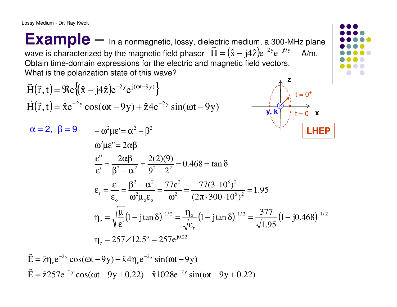Lossy Medium - Dr. Ray Kwok

**Example** –In a nonmagnetic, lossy, dielectric medium, a 300-MHz plane<br>and by the megnetic field phases.  $\vec{H} = (\hat{x} - iA\hat{z})e^{-2y}e^{-j\theta y}$  . A m wave is characterized by the magnetic field phasor  $\vec{H} = (\hat{x} - j4\hat{z})e^{-2y}e^{-j9y}$  A/m. Obtain time-domain expressions for the electric and magnetic field vectors.What is the polarization state of this wave?

$$
\vec{H}(\vec{r}, t) = \Re e \{ (\hat{x} - j4\hat{z}) e^{-2y} e^{j(\omega t - 9y)} \}
$$
\n
$$
\vec{H}(\vec{r}, t) = \hat{x} e^{-2y} \cos(\omega t - 9y) + \hat{z} 4 e^{-2y} \sin(\omega t - 9y)
$$
\n
$$
\alpha = 2, \ \beta = 9 \qquad -\omega^2 \mu e' = \alpha^2 - \beta^2
$$
\n
$$
\omega^2 \mu e'' = 2\alpha \beta
$$
\n
$$
\frac{\varepsilon''}{\varepsilon'} = \frac{2\alpha \beta}{\beta^2 - \alpha^2} = \frac{2(2)(9)}{9^2 - 2^2} = 0.468 = \tan \delta
$$
\n
$$
\varepsilon_r = \frac{\varepsilon'}{\varepsilon_o} = \frac{\beta^2 - \alpha^2}{\omega^2 \mu_e \varepsilon_o} = \frac{77c^2}{\omega^2} = \frac{77(3 \cdot 10^8)^2}{(2\pi \cdot 300 \cdot 10^6)^2} = 1.95
$$
\n
$$
\eta_c = \sqrt{\frac{\mu}{\varepsilon'}} (1 - j \tan \delta)^{-1/2} = \frac{\eta_o}{\sqrt{\varepsilon_r}} (1 - j \tan \delta)^{-1/2} = \frac{377}{\sqrt{1.95}} (1 - j0.468)^{-1/2}
$$
\n
$$
\eta_c = 257 \angle 12.5^\circ = 257 e^{j0.22}
$$

 $\vec{E} = \hat{\tau} 257 e^{-2y} \cos(\omega t - 9y + 0.22) - \hat{\tau} 1028 e^{-2y} \sin(\omega t - 9y + 0.22)$  $\vec{E} = \hat{z}\eta_c e^{-2y} \cos(\omega t - 9y) - \hat{x}4\eta_c e^{-2y} \sin(\omega t - 9y)$  $\hat{E} = \hat{z}\eta_c e^{-2y} \cos(\omega t - 9y) - \hat{x}4\eta_c e^{-2y} \sin(\omega t E = \hat{z}\eta_c e^{-2y} \cos(\omega t - 9y) - \hat{x}4\eta_c e^{-2y} \sin(\omega t - 9y)$ <br>  $\vec{E} = \hat{z}257e^{-2y} \cos(\omega t - 9y + 0.22) - \hat{x}1028e^{-2y} \sin(\omega t - 9y + 0.22)$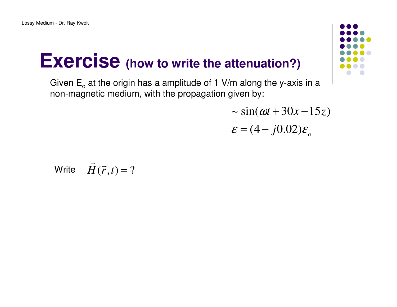### **Exercise (how to write the attenuation?)**

Given  $E_0$  at the origin has a amplitude of 1 V/m along the y-axis in a non-magnetic medium, with the propagation given by:

 $\varepsilon = (4 - j0.02)\varepsilon_o$  $\sim$   $sin(\omega t + 30x - 15z)$  $\sim \sin(\omega t + 30x - 15z)$ 

Write 
$$
\vec{H}(\vec{r},t) = ?
$$

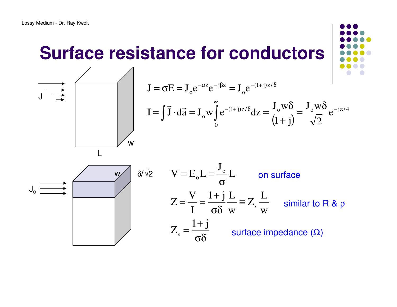### **Surface resistance for conductors**



$$
J = \sigma E = J_0 e^{-\alpha z} e^{-j\beta z} = J_0 e^{-(1+j)z/\delta}
$$
  
\n
$$
I = \int \vec{J} \cdot d\vec{a} = J_0 w \int_0^\infty e^{-(1+j)z/\delta} dz = \frac{J_0 w \delta}{(1+j)} = \frac{J_0 w \delta}{\sqrt{2}} e^{-j\pi/4}
$$

$$
J_0 \overrightarrow{a} \overrightarrow{b} \overrightarrow{c}
$$
\n
$$
Z = \frac{V}{I} = \frac{1 + j}{\sigma \delta} L \qquad \text{on surface}
$$
\n
$$
Z = \frac{V}{I} = \frac{1 + j}{\sigma \delta} L \equiv Z_s \frac{L}{w} \qquad \text{similar to R & p}
$$
\n
$$
Z_s = \frac{1 + j}{\sigma \delta} \qquad \text{surface impedance } (\Omega)
$$